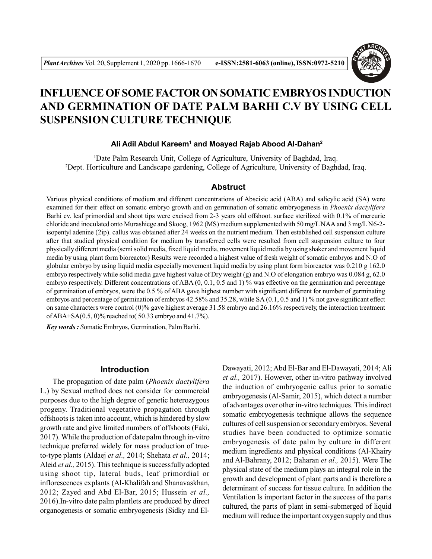

# **INFLUENCE OF SOME FACTOR ON SOMATIC EMBRYOS INDUCTION AND GERMINATION OF DATE PALM BARHI C.V BY USING CELL SUSPENSION CULTURE TECHNIQUE**

# **Ali Adil Abdul Kareem<sup>1</sup> and Moayed Rajab Abood Al-Dahan<sup>2</sup>**

<sup>1</sup>Date Palm Research Unit, College of Agriculture, University of Baghdad, Iraq. <sup>2</sup>Dept. Horticulture and Landscape gardening, College of Agriculture, University of Baghdad, Iraq.

## **Abstruct**

Various physical conditions of medium and different concentrations of Abscisic acid (ABA) and salicylic acid (SA) were examined for their effect on somatic embryo growth and on germination of somatic embryogenesis in *Phoenix dactylifera* Barhi cv. leaf primordial and shoot tips were excised from 2-3 years old offshoot. surface sterilized with 0.1% of mercuric chloride and inoculated onto Murashiege and Skoog, 1962 (MS) medium supplemented with 50 mg/L NAA and 3 mg/L N6-2 isopentyl adenine (2ip). callus was obtained after 24 weeks on the nutrient medium. Then established cell suspension culture after that studied physical condition for medium by transferred cells were resulted from cell suspension culture to four physically different media (semi solid media, fixed liquid media, movement liquid media by using shaker and movement liquid media by using plant form bioreactor) Results were recorded a highest value of fresh weight of somatic embryos and N.O of globular embryo by using liquid media especially movement liquid media by using plant form bioreactor was 0.210 g 162.0 embryo respectively while solid media gave highest value of Dry weight (g) and N.O of elongation embryo was 0.084 g, 62.0 embryo respectively. Different concentrations of ABA (0, 0.1, 0.5 and 1) % was effective on the germination and percentage of germination of embryos, were the 0.5 % of ABA gave highest number with significant different for number of germinating embryos and percentage of germination of embryos 42.58% and 35.28, while SA (0.1, 0.5 and 1) % not gave significant effect on same characters were control (0)% gave highest average 31.58 embryo and 26.16% respectively, the interaction treatment of ABA+SA(0.5, 0)% reached to( 50.33 embryo and 41.7%).

*Key words : S*omatic Embryos, Germination, Palm Barhi.

# **Introduction**

The propagation of date palm (*Phoenix dactylifera* L.) by Sexual method does not consider for commercial purposes due to the high degree of genetic heterozygous progeny. Traditional vegetative propagation through offshoots is taken into account, which is hindered by slow growth rate and give limited numbers of offshoots (Faki, 2017). While the production of date palm through in-vitro technique preferred widely for mass production of trueto-type plants (Aldaej *et al.,* 2014; Shehata *et al.,* 2014; Aleid *et al.,* 2015). This technique is successfully adopted using shoot tip, lateral buds, leaf primordial or inflorescences explants (Al-Khalifah and Shanavaskhan, 2012; Zayed and Abd El-Bar, 2015; Hussein *et al.,* 2016).In-vitro date palm plantlets are produced by direct organogenesis or somatic embryogenesis (Sidky and ElDawayati, 2012; Abd El-Bar and El-Dawayati, 2014; Ali *et al.,* 2017). However, other in-vitro pathway involved the induction of embryogenic callus prior to somatic embryogenesis (Al-Samir, 2015), which detect a number of advantages over other in-vitro techniques. This indirect somatic embryogenesis technique allows the sequence cultures of cell suspension or secondary embryos. Several studies have been conducted to optimize somatic embryogenesis of date palm by culture in different medium ingredients and physical conditions (Al-Khairy and Al-Bahrany, 2012; Baharan *et al.,* 2015). Were The physical state of the medium plays an integral role in the growth and development of plant parts and is therefore a determinant of success for tissue culture. In addition the Ventilation Is important factor in the success of the parts cultured, the parts of plant in semi-submerged of liquid medium will reduce the important oxygen supply and thus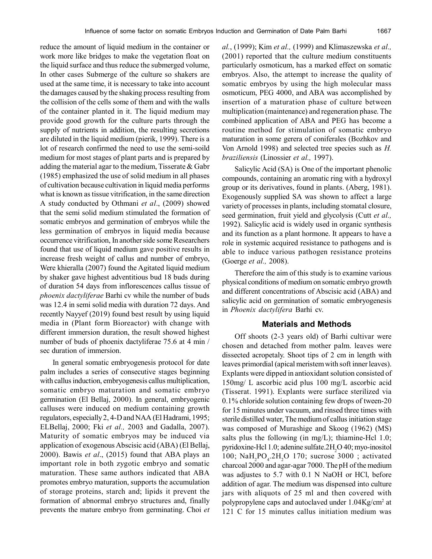reduce the amount of liquid medium in the container or work more like bridges to make the vegetation float on the liquid surface and thus reduce the submerged volume, In other cases Submerge of the culture so shakers are used at the same time, it is necessary to take into account the damages caused by the shaking process resulting from the collision of the cells some of them and with the walls of the container planted in it. The liquid medium may provide good growth for the culture parts through the supply of nutrients in addition, the resulting secretions are diluted in the liquid medium (pierik, 1999). There is a lot of research confirmed the need to use the semi-soild medium for most stages of plant parts and is prepared by adding the material agar to the medium, Tisserate  $\&$  Gabr (1985) emphasized the use of solid medium in all phases of cultivation because cultivation in liquid media performs what is known as tissue vitrification, in the same direction A study conducted by Othmani *et al*., (2009) showed that the semi solid medium stimulated the formation of somatic embryos and germination of embryos while the less germination of embryos in liquid media because occurrence vitrification, In another side some Researchers found that use of liquid medium gave positive results in increase fresh weight of callus and number of embryo, Were khieralla (2007) found the Agitated liquid medium by shaker gave highest adventitious bud 18 buds during of duration 54 days from inflorescences callus tissue of *phoenix dactyliferae* Barhi cv while the number of buds was 12.4 in semi solid media with duration 72 days. And recently Nayyef (2019) found best result by using liquid media in (Plant form Bioreactor) with change with different immersion duration, the result showed highest number of buds of phoenix dactyliferae 75.6 at 4 min / sec duration of immersion.

In general somatic embryogenesis protocol for date palm includes a series of consecutive stages beginning with callus induction, embryogenesis callus multiplication, somatic embryo maturation and somatic embryo germination (El Bellaj, 2000). In general, embryogenic calluses were induced on medium containing growth regulators, especially 2, 4-D and NAA (El Hadrami, 1995; ELBellaj, 2000; Fki *et al.,* 2003 and Gadalla, 2007). Maturity of somatic embryos may be induced via application of exogenous Abscisic acid (ABA) (El Bellaj, 2000). Bawis *et al*., (2015) found that ABA plays an important role in both zygotic embryo and somatic maturation. These same authors indicated that ABA promotes embryo maturation, supports the accumulation of storage proteins, starch and; lipids it prevent the formation of abnormal embryo structures and, finally prevents the mature embryo from germinating. Choi *et* *al.*, (1999); Kim *et al.,* (1999) and Klimaszewska *et al.,* (2001) reported that the culture medium constituents particularly osmoticum, has a marked effect on somatic embryos. Also, the attempt to increase the quality of somatic embryos by using the high molecular mass osmoticum, PEG 4000, and ABA was accomplished by insertion of a maturation phase of culture between multiplication (maintenance) and regeneration phase. The combined application of ABA and PEG has become a routine method for stimulation of somatic embryo maturation in some gerera of coniferales (Bozhkov and Von Arnold 1998) and selected tree species such as *H. braziliensis* (Linossier *et al.,* 1997).

Salicylic Acid (SA) is One of the important phenolic compounds, containing an aromatic ring with a hydroxyl group or its derivatives, found in plants. (Aberg, 1981). Exogenously supplied SA was shown to affect a large variety of processes in plants, including stomatal closure, seed germination, fruit yield and glycolysis (Cutt *et al.,* 1992). Salicylic acid is widely used in organic synthesis and its function as a plant hormone. It appears to have a role in systemic acquired resistance to pathogens and is able to induce various pathogen resistance proteins (Goerge *et al.,* 2008).

Therefore the aim of this study is to examine various physical conditions of medium on somatic embryo growth and different concentrations of Abscisic acid (ABA) and salicylic acid on germination of somatic embryogenesis in *Phoenix dactylifera* Barhi cv.

#### **Materials and Methods**

Off shoots (2-3 years old) of Barhi cultivar were chosen and detached from mother palm. leaves were dissected acropetaly. Shoot tips of 2 cm in length with leaves primordial (apical meristem with soft inner leaves). Explants were dipped in antioxidant solution consisted of 150mg/ L ascorbic acid plus 100 mg/L ascorbic acid (Tisserat. 1991). Explants were surface sterilized via 0.1% chloride solution containing few drops of tween-20 for 15 minutes under vacuum, and rinsed three times with sterile distilled water, The medium of callus initiation stage was composed of Murashige and Skoog (1962) (MS) salts plus the following (in mg/L); thiamine-Hcl  $1.0$ ; pyridoxine-Hcl 1.0; adenine sulfate.2H<sub>2</sub>O 40; myo-inositol 100;  $\text{NaH}_2\text{PO}_4.2\text{H}_2\text{O}$  170; sucrose 3000; activated charcoal 2000 and agar-agar 7000. The pH of the medium was adjustes to 5.7 with 0.1 N NaOH or HCl, before addition of agar. The medium was dispensed into culture jars with aliquots of 25 ml and then covered with polypropylene caps and autoclaved under 1.04Kg/cm<sup>2</sup> at 121 C for 15 minutes callus initiation medium was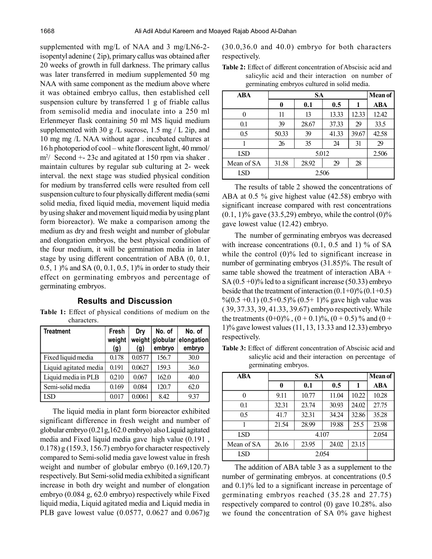supplemented with mg/L of NAA and 3 mg/LN6-2 isopentyl adenine ( 2ip), primary callus was obtained after 20 weeks of growth in full darkness. The primary callus was later transferred in medium supplemented 50 mg NAA with same component as the medium above where it was obtained embryo callus, then established cell suspension culture by transferred 1 g of friable callus from semisolid media and inoculate into a 250 ml Erlenmeyer flask containing 50 ml MS liquid medium supplemented with 30 g  $/L$  sucrose, 1.5 mg  $/L$  2ip, and 10 mg mg /L NAA without agar . incubated cultures at 16 h photoperiod of cool – white florescent light, 40 mmol/ m<sup>2</sup> / Second +- 23c and agitated at 150 rpm via shaker . maintain cultures by regular sub culturing at 2- week interval. the next stage was studied physical condition for medium by transferred cells were resulted from cell suspension culture to four physically different media (semi solid media, fixed liquid media, movement liquid media by using shaker and movement liquid media by using plant form bioreactor). We make a comparison among the medium as dry and fresh weight and number of globular and elongation embryos, the best physical condition of the four medium, it will be germination media in later stage by using different concentration of ABA (0, 0.1, 0.5, 1 )% and SA (0, 0.1, 0.5, 1)% in order to study their effect on germinating embryos and percentage of germinating embryos.

## **Results and Discussion**

**Table 1:** Effect of physical conditions of medium on the characters.

| <b>Treatment</b>      | Fresh<br>weight<br>(g) | Dry<br>(g) | No. of<br>weight globular<br>embryo | No. of<br>elongation<br>embryo |
|-----------------------|------------------------|------------|-------------------------------------|--------------------------------|
| Fixed liquid media    | 0.178                  | 0.0577     | 156.7                               | 30.0                           |
| Liquid agitated media | 0.191                  | 0.0627     | 159.3                               | 36.0                           |
| Liquid media in PLB   | 0.210                  | 0.067      | 162.0                               | 40.0                           |
| Semi-solid media      | 0.169                  | 0.084      | 120.7                               | 62.0                           |
| LSD                   | 0.017                  | 0.0061     | 8.42                                | 9.37                           |

The liquid media in plant form bioreactor exhibited significant difference in fresh weight and number of globular embryo (0.21g,162.0 embryo) also Liquid agitated media and Fixed liquid media gave high value (0.191 , 0.178) g (159.3, 156.7) embryo for character respectively compared to Semi-solid media gave lowest value in fresh weight and number of globular embryo (0.169,120.7) respectively. But Semi-solid media exhibited a significant increase in both dry weight and number of elongation embryo (0.084 g, 62.0 embryo) respectively while Fixed liquid media, Liquid agitated media and Liquid media in PLB gave lowest value (0.0577, 0.0627 and 0.067)g

(30.0,36.0 and 40.0) embryo for both characters respectively.

**Table 2:** Effect of different concentration of Abscisic acid and salicylic acid and their interaction on number of germinating embryos cultured in solid media.

| <b>ABA</b> | <b>SA</b> |       |       |       | <b>Mean of</b> |
|------------|-----------|-------|-------|-------|----------------|
|            | 0         | 0.1   | 0.5   |       | ABA            |
| $\Omega$   | 11        | 13    | 13.33 | 12.33 | 12.42          |
| 0.1        | 39        | 28.67 | 37.33 | 29    | 33.5           |
| 0.5        | 50.33     | 39    | 41.33 | 39.67 | 42.58          |
|            | 26        | 35    | 24    | 31    | 29             |
| LSD        | 5.012     |       |       |       | 2.506          |
| Mean of SA | 31.58     | 28.92 | 29    | 28    |                |
| LSD        | 2.506     |       |       |       |                |

The results of table 2 showed the concentrations of ABA at 0.5 % give highest value (42.58) embryo with significant increase compared with rest concentrations  $(0.1, 1)$ % gave  $(33.5, 29)$  embryo, while the control  $(0)$ % gave lowest value (12.42) embryo.

The number of germinating embryos was decreased with increase concentrations  $(0.1, 0.5, 0.5)$  and 1) % of SA while the control (0)% led to significant increase in number of germinating embryos (31.85)%. The result of same table showed the treatment of interaction ABA + SA  $(0.5+0)\%$  led to a significant increase (50.33) embryo beside that the treatment of interaction  $(0.1+0)\%$   $(0.1+0.5)$ %(0.5 +0.1) (0.5 + 0.5)% (0.5 + 1)% gave high value was ( 39, 37.33, 39, 41.33, 39.67) embryo respectively. While the treatments  $(0+0)\%$ ,  $(0+0.1)\%$ ,  $(0+0.5)\%$  and  $(0+0.5)\%$ 1)% gave lowest values (11, 13, 13.33 and 12.33) embryo respectively.

**Table 3:** Effect of different concentration of Abscisic acid and salicylic acid and their interaction on percentage of germinating embryos.

| <b>ABA</b> | SА    |       |       |       | <b>Mean of</b> |
|------------|-------|-------|-------|-------|----------------|
|            | 0     | 0.1   | 0.5   | 1     | ABA            |
| 0          | 9.11  | 10.77 | 11.04 | 10.22 | 10.28          |
| 0.1        | 32.31 | 23.74 | 30.93 | 24.02 | 27.75          |
| 0.5        | 41.7  | 32.31 | 34.24 | 32.86 | 35.28          |
|            | 21.54 | 28.99 | 19.88 | 25.5  | 23.98          |
| LSD        | 4.107 |       |       |       | 2.054          |
| Mean of SA | 26.16 | 23.95 | 24.02 | 23.15 |                |
| LSD        | 2.054 |       |       |       |                |

The addition of ABA table 3 as a supplement to the number of germinating embryos. at concentrations (0.5 and 0.1)% led to a significant increase in percentage of germinating embryos reached (35.28 and 27.75) respectively compared to control (0) gave 10.28%. also we found the concentration of SA 0% gave highest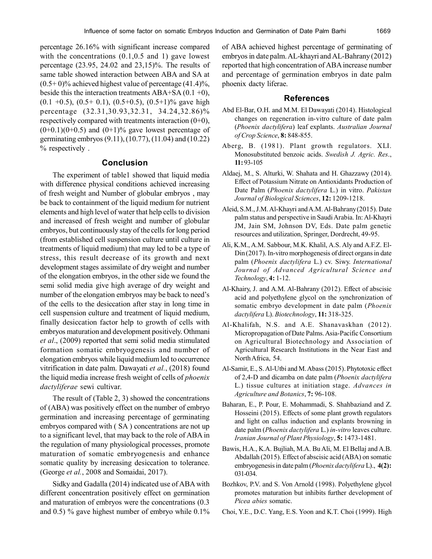percentage 26.16% with significant increase compared with the concentrations  $(0.1, 0.5, 0.5, 1)$  gave lowest percentage (23.95, 24.02 and 23,15)%. The results of same table showed interaction between ABA and SA at  $(0.5+0)\%$  achieved highest value of percentage  $(41.4)\%$ , beside this the interaction treatments ABA+SA  $(0.1 + 0)$ ,  $(0.1 + 0.5)$ ,  $(0.5 + 0.1)$ ,  $(0.5 + 0.5)$ ,  $(0.5 + 1)$ % gave high percentage (32.31,30.93,32.31, 34.24,32.86)% respectively compared with treatments interaction  $(0+0)$ ,  $(0+0.1)(0+0.5)$  and  $(0+1)\%$  gave lowest percentage of germinating embryos (9.11), (10.77), (11.04) and (10.22) % respectively .

# **Conclusion**

The experiment of table1 showed that liquid media with difference physical conditions achieved increasing of fresh weight and Number of globular embryos , may be back to containment of the liquid medium for nutrient elements and high level of water that help cells to division and increased of fresh weight and number of globular embryos, but continuously stay of the cells for long period (from established cell suspension culture until culture in treatments of liquid medium) that may led to be a type of stress, this result decrease of its growth and next development stages assimilate of dry weight and number of the elongation embryos, in the other side we found the semi solid media give high average of dry weight and number of the elongation embryos may be back to need's of the cells to the desiccation after stay in long time in cell suspension culture and treatment of liquid medium, finally desiccation factor help to growth of cells with embryos maturation and development positively. Othmani *et al*., (2009) reported that semi solid media stimulated formation somatic embryogenesis and number of elongation embryos while liquid medium led to occurrence vitrification in date palm. Dawayati *et al.*, (2018) found the liquid media increase fresh weight of cells of *phoenix dactyliferae* sewi cultivar.

The result of (Table 2, 3) showed the concentrations of (ABA) was positively effect on the number of embryo germination and increasing percentage of germinating embryos compared with ( SA ) concentrations are not up to a significant level, that may back to the role of ABA in the regulation of many physiological processes, promote maturation of somatic embryogenesis and enhance somatic quality by increasing desiccation to tolerance. (George *et al.*, 2008 and Somaidai, 2017).

Sidky and Gadalla (2014) indicated use of ABA with different concentration positively effect on germination and maturation of embryos were the concentrations (0.3 and 0.5) % gave highest number of embryo while 0.1% of ABA achieved highest percentage of germinating of embryos in date palm. AL-khayri and AL-Bahrany (2012) reported that high concentration of ABA increase number and percentage of germination embryos in date palm phoenix dacty liferae.

#### **References**

- Abd El-Bar, O.H. and M.M. El Dawayati (2014). Histological changes on regeneration in-vitro culture of date palm (*Phoenix dactylifera*) leaf explants. *Australian Journal of Crop Science*, **8:** 848-855.
- Aberg, B. (1981). Plant growth regulators. XLI. Monosubstituted benzoic acids. *Swedish J. Agric. Res*., **11:** 93-105
- Aldaej, M., S. Alturki, W. Shahata and H. Ghazzawy (2014). Effect of Potassium Nitrate on Antioxidants Production of Date Palm (*Phoenix dactylifera* L.) in vitro. *Pakistan Journal of Biological Sciences*, **12:** 1209-1218.
- Aleid, S.M., J.M. Al-Khayri and A.M. Al-Bahrany (2015). Date palm status and perspective in Saudi Arabia. In: Al-Khayri JM, Jain SM, Johnson DV, Eds. Date palm genetic resources and utilization, Springer, Dordrecht, 49-95.
- Ali, K.M., A.M. Sabbour, M.K. Khalil, A.S. Aly and A.F.Z. El-Din (2017). In-vitro morphogenesis of direct organs in date palm (*Phoenix dactylifera* L.) cv. Siwy. *International Journal of Advanced Agricultural Science and Technology*, **4:** 1-12.
- Al-Khairy, J. and A.M. Al-Bahrany (2012). Effect of abscisic acid and polyethylene glycol on the synchronization of somatic embryo development in date palm (*Phoenix dactylifera* L). *Biotechnology*, **11:** 318-325.
- Al-Khalifah, N.S. and A.E. Shanavaskhan (2012). Micropropagation of Date Palms. Asia-Pacific Consortium on Agricultural Biotechnology and Association of Agricultural Research Institutions in the Near East and North Africa, 54.
- Al-Samir, E., S. Al-Utbi and M. Abass (2015). Phytotoxic effect of 2,4-D and dicamba on date palm (*Phoenix dactylifera* L.) tissue cultures at initiation stage. *Advances in Agriculture and Botanics*, **7:** 96-108.
- Baharan, E., P. Pour, E. Mohammadi, S. Shahbaziand and Z. Hosseini (2015). Effects of some plant growth regulators and light on callus induction and explants browning in date palm (*Phoenix dactylifera* L.) *in-vitro* leaves culture. *Iranian Journal of Plant Physiology*, **5:** 1473-1481.
- Bawis, H.A., K.A. Bujliah, M.A. Bu Ali, M. El Bellaj and A.B. Abdallah (2015). Effect of abscisic acid (ABA) on somatic embryogenesis in date palm (*Phoenix dactylifera* L)., **4(2):** 031-034.
- Bozhkov, P.V. and S. Von Arnold (1998). Polyethylene glycol promotes maturation but inhibits further development of *Picea abies* somatic.
- Choi, Y.E., D.C. Yang, E.S. Yoon and K.T. Choi (1999). High